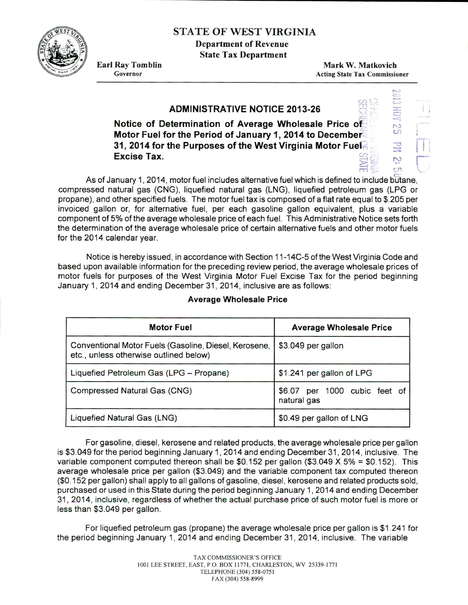STATE OF WEST VIRGINIA

Department of Revenue State Tax Department

Earl Ray Tomblin Governor

Mark W. Matkovich Acting State Tax Commissioner

## $\overline{\phantom{0}}$  $\frac{1}{2}$  (x) (x) **ADMINISTRATIVE NOTICE 2013-26** <..·..>  $\leq$  $-$ !'..)  $\sum_{i=1}^{n}$ ' <sup>I</sup> Notice of Determination of Average Wholesale Price of Motor Fuel for the Period of January 1, 2014 to December  $\begin{array}{cc} \bullet & \bullet \\ \bullet & \bullet \end{array}$ <br>31, 2014 for the Purposes of the West Virginia Motor Fue $\begin{array}{cc} \bullet & \bullet \\ \bullet & \bullet \end{array}$ Excise Tax.  $\sum_{n=1}^{\infty}$  $\exists \forall z \in \mathbb{R}$

As of January 1, 2014, motor fuel includes alternative fuel which is defined to include butane, compressed natural gas (CNG), liquefied natural gas (LNG), liquefied petroleum gas (LPG or propane), and other specified fuels. The motor fuel tax is composed of a flat rate equal to \$.205 per invoiced gallon or, for alternative fuel, per each gasoline gallon equivalent, plus a variable component of 5% of the average wholesale price of each fuel. This Administrative Notice sets forth the determination of the average wholesale price of certain alternative fuels and other motor fuels for the 2014 calendar year.

Notice is hereby issued, in accordance with Section 11-14C-5 of the West Virginia Code and based upon available information for the preceding review period, the average wholesale prices of motor fuels for purposes of the West Virginia Motor Fuel Excise Tax for the period beginning January 1, 2014 and ending December 31, 2014, inclusive are as follows:

| <b>Motor Fuel</b>                                                                               | <b>Average Wholesale Price</b>                  |  |
|-------------------------------------------------------------------------------------------------|-------------------------------------------------|--|
| Conventional Motor Fuels (Gasoline, Diesel, Kerosene,<br>etc., unless otherwise outlined below) | \$3.049 per gallon                              |  |
| Liquefied Petroleum Gas (LPG - Propane)                                                         | \$1.241 per gallon of LPG                       |  |
| Compressed Natural Gas (CNG)                                                                    | per 1000 cubic feet of<br>\$6.07<br>natural gas |  |
| Liquefied Natural Gas (LNG)                                                                     | \$0.49 per gallon of LNG                        |  |

## Average Wholesale Price

For gasoline, diesel, kerosene and related products, the average wholesale price per gallon is \$3.049 for the period beginning January 1, 2014 and ending December 31 , 2014, inclusive. The variable component computed thereon shall be  $$0.152$  per gallon (\$3.049 X 5% = \$0.152). This average wholesale price per gallon (\$3.049) and the variable component tax computed thereon (\$0.152 per gallon) shall apply to all gallons of gasoline, diesel, kerosene and related products sold, purchased or used in this State during the period beginning January 1, 2014 and ending December 31 , 2014, inclusive, regardless of whether the actual purchase price of such motor fuel is more or less than \$3.049 per gallon.

For liquefied petroleum gas (propane) the average wholesale price per gallon is \$1 .241 for the period beginning January 1, 2014 and ending December 31, 2014, inclusive. The variable